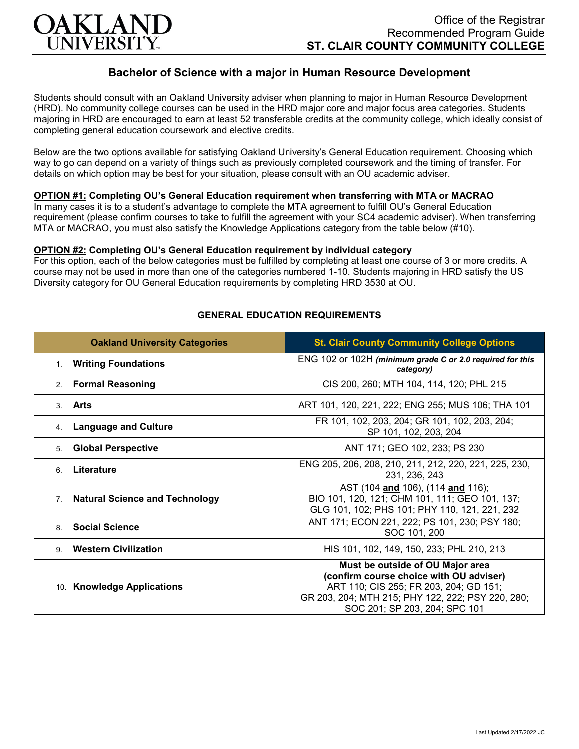

# **Bachelor of Science with a major in Human Resource Development**

Students should consult with an Oakland University adviser when planning to major in Human Resource Development (HRD). No community college courses can be used in the HRD major core and major focus area categories. Students majoring in HRD are encouraged to earn at least 52 transferable credits at the community college, which ideally consist of completing general education coursework and elective credits.

Below are the two options available for satisfying Oakland University's General Education requirement. Choosing which way to go can depend on a variety of things such as previously completed coursework and the timing of transfer. For details on which option may be best for your situation, please consult with an OU academic adviser.

### **OPTION #1: Completing OU's General Education requirement when transferring with MTA or MACRAO**

In many cases it is to a student's advantage to complete the MTA agreement to fulfill OU's General Education requirement (please confirm courses to take to fulfill the agreement with your SC4 academic adviser). When transferring MTA or MACRAO, you must also satisfy the Knowledge Applications category from the table below (#10).

#### **OPTION #2: Completing OU's General Education requirement by individual category**

For this option, each of the below categories must be fulfilled by completing at least one course of 3 or more credits. A course may not be used in more than one of the categories numbered 1-10. Students majoring in HRD satisfy the US Diversity category for OU General Education requirements by completing HRD 3530 at OU.

| <b>Oakland University Categories</b>                    | <b>St. Clair County Community College Options</b>                                                                                                                                                           |
|---------------------------------------------------------|-------------------------------------------------------------------------------------------------------------------------------------------------------------------------------------------------------------|
| 1. Writing Foundations                                  | ENG 102 or 102H (minimum grade C or 2.0 required for this<br>category)                                                                                                                                      |
| <b>Formal Reasoning</b><br>2.                           | CIS 200, 260; MTH 104, 114, 120; PHL 215                                                                                                                                                                    |
| Arts<br>$\mathcal{S}$                                   | ART 101, 120, 221, 222; ENG 255; MUS 106; THA 101                                                                                                                                                           |
| <b>Language and Culture</b><br>4.                       | FR 101, 102, 203, 204; GR 101, 102, 203, 204;<br>SP 101, 102, 203, 204                                                                                                                                      |
| <b>Global Perspective</b><br>5.                         | ANT 171; GEO 102, 233; PS 230                                                                                                                                                                               |
| Literature<br>6                                         | ENG 205, 206, 208, 210, 211, 212, 220, 221, 225, 230,<br>231, 236, 243                                                                                                                                      |
| <b>Natural Science and Technology</b><br>7 <sub>1</sub> | AST (104 and 106), (114 and 116);<br>BIO 101, 120, 121; CHM 101, 111; GEO 101, 137;<br>GLG 101, 102; PHS 101; PHY 110, 121, 221, 232                                                                        |
| <b>Social Science</b><br>8                              | ANT 171; ECON 221, 222; PS 101, 230; PSY 180;<br>SOC 101, 200                                                                                                                                               |
| <b>Western Civilization</b><br>9.                       | HIS 101, 102, 149, 150, 233; PHL 210, 213                                                                                                                                                                   |
| 10. Knowledge Applications                              | Must be outside of OU Major area<br>(confirm course choice with OU adviser)<br>ART 110; CIS 255; FR 203, 204; GD 151;<br>GR 203, 204; MTH 215; PHY 122, 222; PSY 220, 280;<br>SOC 201; SP 203, 204; SPC 101 |

#### **GENERAL EDUCATION REQUIREMENTS**